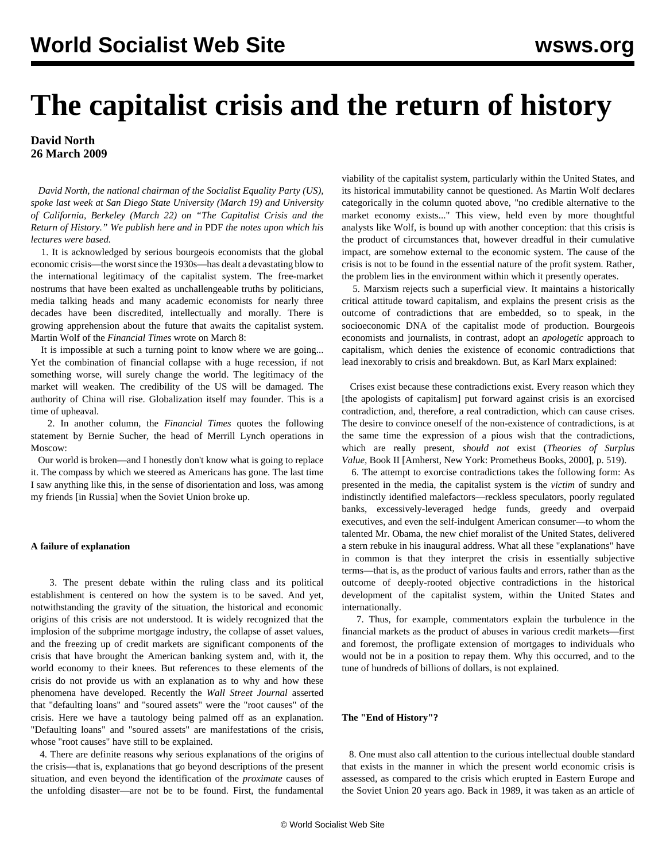# **The capitalist crisis and the return of history**

# **David North 26 March 2009**

 *David North, the national chairman of the Socialist Equality Party (US), spoke last week at San Diego State University (March 19) and University of California, Berkeley (March 22) on "The Capitalist Crisis and the Return of History." We publish here and in* PDF *the notes upon which his lectures were based.*

 1. It is acknowledged by serious bourgeois economists that the global economic crisis—the worst since the 1930s—has dealt a devastating blow to the international legitimacy of the capitalist system. The free-market nostrums that have been exalted as unchallengeable truths by politicians, media talking heads and many academic economists for nearly three decades have been discredited, intellectually and morally. There is growing apprehension about the future that awaits the capitalist system. Martin Wolf of the *Financial Times* wrote on March 8:

 It is impossible at such a turning point to know where we are going... Yet the combination of financial collapse with a huge recession, if not something worse, will surely change the world. The legitimacy of the market will weaken. The credibility of the US will be damaged. The authority of China will rise. Globalization itself may founder. This is a time of upheaval.

 2. In another column, the *Financial Times* quotes the following statement by Bernie Sucher, the head of Merrill Lynch operations in Moscow:

 Our world is broken—and I honestly don't know what is going to replace it. The compass by which we steered as Americans has gone. The last time I saw anything like this, in the sense of disorientation and loss, was among my friends [in Russia] when the Soviet Union broke up.

## **A failure of explanation**

 3. The present debate within the ruling class and its political establishment is centered on how the system is to be saved. And yet, notwithstanding the gravity of the situation, the historical and economic origins of this crisis are not understood. It is widely recognized that the implosion of the subprime mortgage industry, the collapse of asset values, and the freezing up of credit markets are significant components of the crisis that have brought the American banking system and, with it, the world economy to their knees. But references to these elements of the crisis do not provide us with an explanation as to why and how these phenomena have developed. Recently the *Wall Street Journal* asserted that "defaulting loans" and "soured assets" were the "root causes" of the crisis. Here we have a tautology being palmed off as an explanation. "Defaulting loans" and "soured assets" are manifestations of the crisis, whose "root causes" have still to be explained.

 4. There are definite reasons why serious explanations of the origins of the crisis—that is, explanations that go beyond descriptions of the present situation, and even beyond the identification of the *proximate* causes of the unfolding disaster—are not be to be found. First, the fundamental

viability of the capitalist system, particularly within the United States, and its historical immutability cannot be questioned. As Martin Wolf declares categorically in the column quoted above, "no credible alternative to the market economy exists..." This view, held even by more thoughtful analysts like Wolf, is bound up with another conception: that this crisis is the product of circumstances that, however dreadful in their cumulative impact, are somehow external to the economic system. The cause of the crisis is not to be found in the essential nature of the profit system*.* Rather, the problem lies in the environment within which it presently operates.

 5. Marxism rejects such a superficial view. It maintains a historically critical attitude toward capitalism, and explains the present crisis as the outcome of contradictions that are embedded, so to speak, in the socioeconomic DNA of the capitalist mode of production. Bourgeois economists and journalists, in contrast, adopt an *apologetic* approach to capitalism, which denies the existence of economic contradictions that lead inexorably to crisis and breakdown. But, as Karl Marx explained:

 Crises exist because these contradictions exist. Every reason which they [the apologists of capitalism] put forward against crisis is an exorcised contradiction, and, therefore, a real contradiction, which can cause crises. The desire to convince oneself of the non-existence of contradictions, is at the same time the expression of a pious wish that the contradictions, which are really present, *should not* exist (*Theories of Surplus Value,* Book II [Amherst, New York: Prometheus Books, 2000], p. 519).

 6. The attempt to exorcise contradictions takes the following form: As presented in the media, the capitalist system is the *victim* of sundry and indistinctly identified malefactors—reckless speculators, poorly regulated banks, excessively-leveraged hedge funds, greedy and overpaid executives, and even the self-indulgent American consumer—to whom the talented Mr. Obama, the new chief moralist of the United States, delivered a stern rebuke in his inaugural address. What all these "explanations" have in common is that they interpret the crisis in essentially subjective terms—that is, as the product of various faults and errors, rather than as the outcome of deeply-rooted objective contradictions in the historical development of the capitalist system, within the United States and internationally.

 7. Thus, for example, commentators explain the turbulence in the financial markets as the product of abuses in various credit markets—first and foremost, the profligate extension of mortgages to individuals who would not be in a position to repay them. Why this occurred, and to the tune of hundreds of billions of dollars, is not explained.

#### **The "End of History"?**

 8. One must also call attention to the curious intellectual double standard that exists in the manner in which the present world economic crisis is assessed, as compared to the crisis which erupted in Eastern Europe and the Soviet Union 20 years ago. Back in 1989, it was taken as an article of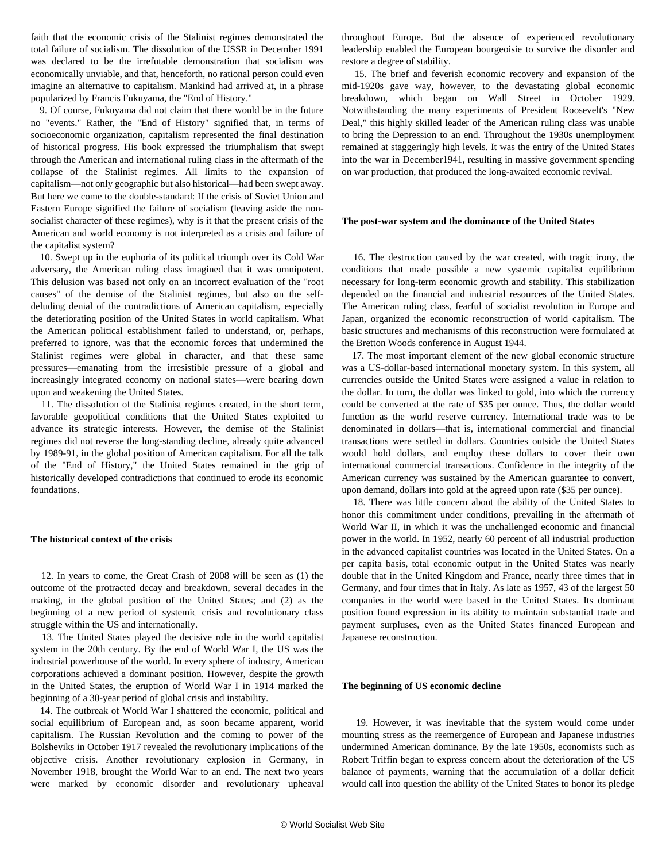faith that the economic crisis of the Stalinist regimes demonstrated the total failure of socialism. The dissolution of the USSR in December 1991 was declared to be the irrefutable demonstration that socialism was economically unviable, and that, henceforth, no rational person could even imagine an alternative to capitalism. Mankind had arrived at, in a phrase popularized by Francis Fukuyama, the "End of History."

 9. Of course, Fukuyama did not claim that there would be in the future no "events." Rather, the "End of History" signified that, in terms of socioeconomic organization, capitalism represented the final destination of historical progress. His book expressed the triumphalism that swept through the American and international ruling class in the aftermath of the collapse of the Stalinist regimes. All limits to the expansion of capitalism—not only geographic but also historical—had been swept away. But here we come to the double-standard: If the crisis of Soviet Union and Eastern Europe signified the failure of socialism (leaving aside the nonsocialist character of these regimes), why is it that the present crisis of the American and world economy is not interpreted as a crisis and failure of the capitalist system?

 10. Swept up in the euphoria of its political triumph over its Cold War adversary, the American ruling class imagined that it was omnipotent. This delusion was based not only on an incorrect evaluation of the "root causes" of the demise of the Stalinist regimes, but also on the selfdeluding denial of the contradictions of American capitalism, especially the deteriorating position of the United States in world capitalism. What the American political establishment failed to understand, or, perhaps, preferred to ignore, was that the economic forces that undermined the Stalinist regimes were global in character, and that these same pressures—emanating from the irresistible pressure of a global and increasingly integrated economy on national states—were bearing down upon and weakening the United States.

 11. The dissolution of the Stalinist regimes created, in the short term, favorable geopolitical conditions that the United States exploited to advance its strategic interests. However, the demise of the Stalinist regimes did not reverse the long-standing decline, already quite advanced by 1989-91, in the global position of American capitalism. For all the talk of the "End of History," the United States remained in the grip of historically developed contradictions that continued to erode its economic foundations.

#### **The historical context of the crisis**

 12. In years to come, the Great Crash of 2008 will be seen as (1) the outcome of the protracted decay and breakdown, several decades in the making, in the global position of the United States; and (2) as the beginning of a new period of systemic crisis and revolutionary class struggle within the US and internationally.

 13. The United States played the decisive role in the world capitalist system in the 20th century. By the end of World War I, the US was the industrial powerhouse of the world. In every sphere of industry, American corporations achieved a dominant position. However, despite the growth in the United States, the eruption of World War I in 1914 marked the beginning of a 30-year period of global crisis and instability.

 14. The outbreak of World War I shattered the economic, political and social equilibrium of European and, as soon became apparent, world capitalism. The Russian Revolution and the coming to power of the Bolsheviks in October 1917 revealed the revolutionary implications of the objective crisis. Another revolutionary explosion in Germany, in November 1918, brought the World War to an end. The next two years were marked by economic disorder and revolutionary upheaval

throughout Europe. But the absence of experienced revolutionary leadership enabled the European bourgeoisie to survive the disorder and restore a degree of stability.

 15. The brief and feverish economic recovery and expansion of the mid-1920s gave way, however, to the devastating global economic breakdown, which began on Wall Street in October 1929. Notwithstanding the many experiments of President Roosevelt's "New Deal," this highly skilled leader of the American ruling class was unable to bring the Depression to an end. Throughout the 1930s unemployment remained at staggeringly high levels. It was the entry of the United States into the war in December1941, resulting in massive government spending on war production, that produced the long-awaited economic revival.

#### **The post-war system and the dominance of the United States**

 16. The destruction caused by the war created, with tragic irony, the conditions that made possible a new systemic capitalist equilibrium necessary for long-term economic growth and stability. This stabilization depended on the financial and industrial resources of the United States. The American ruling class, fearful of socialist revolution in Europe and Japan, organized the economic reconstruction of world capitalism. The basic structures and mechanisms of this reconstruction were formulated at the Bretton Woods conference in August 1944.

 17. The most important element of the new global economic structure was a US-dollar-based international monetary system. In this system, all currencies outside the United States were assigned a value in relation to the dollar. In turn, the dollar was linked to gold, into which the currency could be converted at the rate of \$35 per ounce. Thus, the dollar would function as the world reserve currency. International trade was to be denominated in dollars—that is, international commercial and financial transactions were settled in dollars. Countries outside the United States would hold dollars, and employ these dollars to cover their own international commercial transactions. Confidence in the integrity of the American currency was sustained by the American guarantee to convert, upon demand, dollars into gold at the agreed upon rate (\$35 per ounce).

 18. There was little concern about the ability of the United States to honor this commitment under conditions, prevailing in the aftermath of World War II, in which it was the unchallenged economic and financial power in the world. In 1952, nearly 60 percent of all industrial production in the advanced capitalist countries was located in the United States. On a per capita basis, total economic output in the United States was nearly double that in the United Kingdom and France, nearly three times that in Germany, and four times that in Italy. As late as 1957, 43 of the largest 50 companies in the world were based in the United States. Its dominant position found expression in its ability to maintain substantial trade and payment surpluses, even as the United States financed European and Japanese reconstruction.

#### **The beginning of US economic decline**

 19. However, it was inevitable that the system would come under mounting stress as the reemergence of European and Japanese industries undermined American dominance. By the late 1950s, economists such as Robert Triffin began to express concern about the deterioration of the US balance of payments, warning that the accumulation of a dollar deficit would call into question the ability of the United States to honor its pledge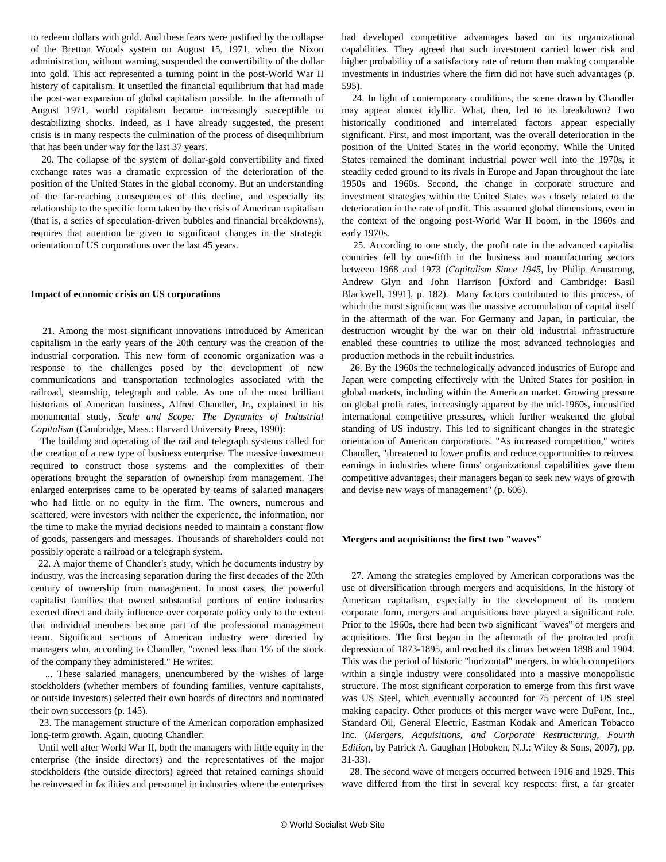to redeem dollars with gold. And these fears were justified by the collapse of the Bretton Woods system on August 15, 1971, when the Nixon administration, without warning, suspended the convertibility of the dollar into gold. This act represented a turning point in the post-World War II history of capitalism. It unsettled the financial equilibrium that had made the post-war expansion of global capitalism possible. In the aftermath of August 1971, world capitalism became increasingly susceptible to destabilizing shocks. Indeed, as I have already suggested, the present crisis is in many respects the culmination of the process of disequilibrium that has been under way for the last 37 years.

 20. The collapse of the system of dollar-gold convertibility and fixed exchange rates was a dramatic expression of the deterioration of the position of the United States in the global economy. But an understanding of the far-reaching consequences of this decline, and especially its relationship to the specific form taken by the crisis of American capitalism (that is, a series of speculation-driven bubbles and financial breakdowns), requires that attention be given to significant changes in the strategic orientation of US corporations over the last 45 years.

# **Impact of economic crisis on US corporations**

 21. Among the most significant innovations introduced by American capitalism in the early years of the 20th century was the creation of the industrial corporation. This new form of economic organization was a response to the challenges posed by the development of new communications and transportation technologies associated with the railroad, steamship, telegraph and cable. As one of the most brilliant historians of American business, Alfred Chandler, Jr., explained in his monumental study, *Scale and Scope: The Dynamics of Industrial Capitalism* (Cambridge, Mass.: Harvard University Press, 1990):

 The building and operating of the rail and telegraph systems called for the creation of a new type of business enterprise. The massive investment required to construct those systems and the complexities of their operations brought the separation of ownership from management. The enlarged enterprises came to be operated by teams of salaried managers who had little or no equity in the firm. The owners, numerous and scattered, were investors with neither the experience, the information, nor the time to make the myriad decisions needed to maintain a constant flow of goods, passengers and messages. Thousands of shareholders could not possibly operate a railroad or a telegraph system.

 22. A major theme of Chandler's study, which he documents industry by industry, was the increasing separation during the first decades of the 20th century of ownership from management. In most cases, the powerful capitalist families that owned substantial portions of entire industries exerted direct and daily influence over corporate policy only to the extent that individual members became part of the professional management team. Significant sections of American industry were directed by managers who, according to Chandler, "owned less than 1% of the stock of the company they administered." He writes:

 ... These salaried managers, unencumbered by the wishes of large stockholders (whether members of founding families, venture capitalists, or outside investors) selected their own boards of directors and nominated their own successors (p. 145).

 23. The management structure of the American corporation emphasized long-term growth. Again, quoting Chandler:

 Until well after World War II, both the managers with little equity in the enterprise (the inside directors) and the representatives of the major stockholders (the outside directors) agreed that retained earnings should be reinvested in facilities and personnel in industries where the enterprises had developed competitive advantages based on its organizational capabilities. They agreed that such investment carried lower risk and higher probability of a satisfactory rate of return than making comparable investments in industries where the firm did not have such advantages (p. 595).

 24. In light of contemporary conditions, the scene drawn by Chandler may appear almost idyllic. What, then, led to its breakdown? Two historically conditioned and interrelated factors appear especially significant. First, and most important, was the overall deterioration in the position of the United States in the world economy. While the United States remained the dominant industrial power well into the 1970s, it steadily ceded ground to its rivals in Europe and Japan throughout the late 1950s and 1960s. Second, the change in corporate structure and investment strategies within the United States was closely related to the deterioration in the rate of profit. This assumed global dimensions, even in the context of the ongoing post-World War II boom, in the 1960s and early 1970s.

 25. According to one study, the profit rate in the advanced capitalist countries fell by one-fifth in the business and manufacturing sectors between 1968 and 1973 (*Capitalism Since 1945*, by Philip Armstrong, Andrew Glyn and John Harrison [Oxford and Cambridge: Basil Blackwell, 1991], p. 182). Many factors contributed to this process, of which the most significant was the massive accumulation of capital itself in the aftermath of the war. For Germany and Japan, in particular, the destruction wrought by the war on their old industrial infrastructure enabled these countries to utilize the most advanced technologies and production methods in the rebuilt industries.

 26. By the 1960s the technologically advanced industries of Europe and Japan were competing effectively with the United States for position in global markets, including within the American market. Growing pressure on global profit rates, increasingly apparent by the mid-1960s, intensified international competitive pressures, which further weakened the global standing of US industry. This led to significant changes in the strategic orientation of American corporations. "As increased competition," writes Chandler, "threatened to lower profits and reduce opportunities to reinvest earnings in industries where firms' organizational capabilities gave them competitive advantages, their managers began to seek new ways of growth and devise new ways of management" (p. 606).

#### **Mergers and acquisitions: the first two "waves"**

 27. Among the strategies employed by American corporations was the use of diversification through mergers and acquisitions. In the history of American capitalism, especially in the development of its modern corporate form, mergers and acquisitions have played a significant role. Prior to the 1960s, there had been two significant "waves" of mergers and acquisitions. The first began in the aftermath of the protracted profit depression of 1873-1895, and reached its climax between 1898 and 1904. This was the period of historic "horizontal" mergers, in which competitors within a single industry were consolidated into a massive monopolistic structure. The most significant corporation to emerge from this first wave was US Steel, which eventually accounted for 75 percent of US steel making capacity. Other products of this merger wave were DuPont, Inc., Standard Oil, General Electric, Eastman Kodak and American Tobacco Inc. (*Mergers, Acquisitions, and Corporate Restructuring, Fourth Edition,* by Patrick A. Gaughan [Hoboken, N.J.: Wiley & Sons, 2007), pp. 31-33).

 28. The second wave of mergers occurred between 1916 and 1929. This wave differed from the first in several key respects: first, a far greater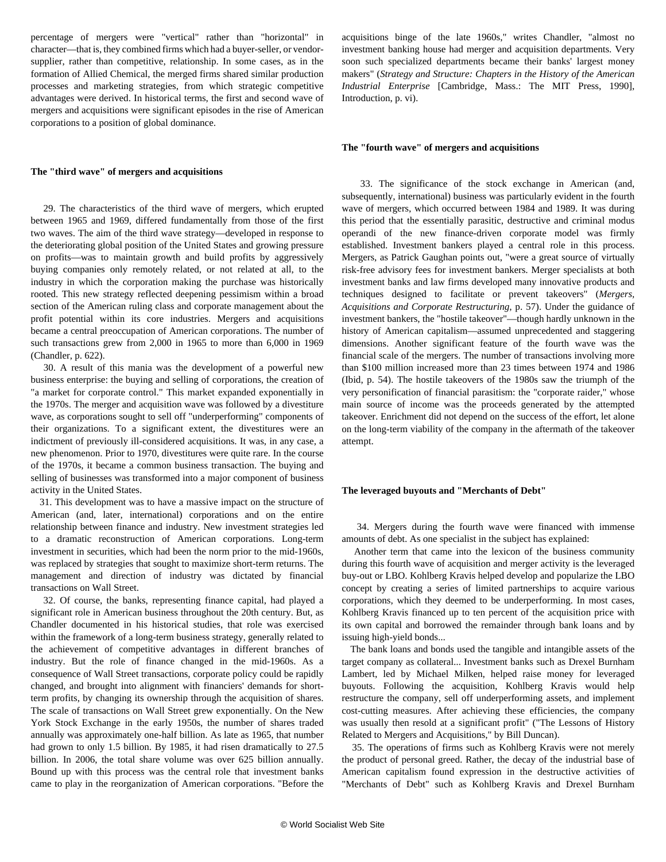percentage of mergers were "vertical" rather than "horizontal" in character—that is, they combined firms which had a buyer-seller, or vendorsupplier, rather than competitive, relationship. In some cases, as in the formation of Allied Chemical, the merged firms shared similar production processes and marketing strategies, from which strategic competitive advantages were derived. In historical terms, the first and second wave of mergers and acquisitions were significant episodes in the rise of American corporations to a position of global dominance.

## **The "third wave" of mergers and acquisitions**

 29. The characteristics of the third wave of mergers, which erupted between 1965 and 1969, differed fundamentally from those of the first two waves. The aim of the third wave strategy—developed in response to the deteriorating global position of the United States and growing pressure on profits—was to maintain growth and build profits by aggressively buying companies only remotely related, or not related at all, to the industry in which the corporation making the purchase was historically rooted. This new strategy reflected deepening pessimism within a broad section of the American ruling class and corporate management about the profit potential within its core industries. Mergers and acquisitions became a central preoccupation of American corporations. The number of such transactions grew from 2,000 in 1965 to more than 6,000 in 1969 (Chandler, p. 622).

 30. A result of this mania was the development of a powerful new business enterprise: the buying and selling of corporations, the creation of "a market for corporate control." This market expanded exponentially in the 1970s. The merger and acquisition wave was followed by a divestiture wave, as corporations sought to sell off "underperforming" components of their organizations. To a significant extent, the divestitures were an indictment of previously ill-considered acquisitions. It was, in any case, a new phenomenon. Prior to 1970, divestitures were quite rare. In the course of the 1970s, it became a common business transaction. The buying and selling of businesses was transformed into a major component of business activity in the United States.

 31. This development was to have a massive impact on the structure of American (and, later, international) corporations and on the entire relationship between finance and industry. New investment strategies led to a dramatic reconstruction of American corporations. Long-term investment in securities, which had been the norm prior to the mid-1960s, was replaced by strategies that sought to maximize short-term returns. The management and direction of industry was dictated by financial transactions on Wall Street.

 32. Of course, the banks, representing finance capital, had played a significant role in American business throughout the 20th century. But, as Chandler documented in his historical studies, that role was exercised within the framework of a long-term business strategy, generally related to the achievement of competitive advantages in different branches of industry. But the role of finance changed in the mid-1960s. As a consequence of Wall Street transactions, corporate policy could be rapidly changed, and brought into alignment with financiers' demands for shortterm profits, by changing its ownership through the acquisition of shares. The scale of transactions on Wall Street grew exponentially. On the New York Stock Exchange in the early 1950s, the number of shares traded annually was approximately one-half billion. As late as 1965, that number had grown to only 1.5 billion. By 1985, it had risen dramatically to 27.5 billion. In 2006, the total share volume was over 625 billion annually. Bound up with this process was the central role that investment banks came to play in the reorganization of American corporations. "Before the acquisitions binge of the late 1960s," writes Chandler, "almost no investment banking house had merger and acquisition departments. Very soon such specialized departments became their banks' largest money makers" (*Strategy and Structure: Chapters in the History of the American Industrial Enterprise* [Cambridge, Mass.: The MIT Press, 1990], Introduction, p. vi).

#### **The "fourth wave" of mergers and acquisitions**

 33. The significance of the stock exchange in American (and, subsequently, international) business was particularly evident in the fourth wave of mergers, which occurred between 1984 and 1989. It was during this period that the essentially parasitic, destructive and criminal modus operandi of the new finance-driven corporate model was firmly established. Investment bankers played a central role in this process. Mergers, as Patrick Gaughan points out, "were a great source of virtually risk-free advisory fees for investment bankers. Merger specialists at both investment banks and law firms developed many innovative products and techniques designed to facilitate or prevent takeovers" (*Mergers, Acquisitions and Corporate Restructuring*, p. 57). Under the guidance of investment bankers, the "hostile takeover"—though hardly unknown in the history of American capitalism—assumed unprecedented and staggering dimensions. Another significant feature of the fourth wave was the financial scale of the mergers. The number of transactions involving more than \$100 million increased more than 23 times between 1974 and 1986 (Ibid, p. 54). The hostile takeovers of the 1980s saw the triumph of the very personification of financial parasitism: the "corporate raider," whose main source of income was the proceeds generated by the attempted takeover. Enrichment did not depend on the success of the effort, let alone on the long-term viability of the company in the aftermath of the takeover attempt.

#### **The leveraged buyouts and "Merchants of Debt"**

 34. Mergers during the fourth wave were financed with immense amounts of debt. As one specialist in the subject has explained:

 Another term that came into the lexicon of the business community during this fourth wave of acquisition and merger activity is the leveraged buy-out or LBO. Kohlberg Kravis helped develop and popularize the LBO concept by creating a series of limited partnerships to acquire various corporations, which they deemed to be underperforming. In most cases, Kohlberg Kravis financed up to ten percent of the acquisition price with its own capital and borrowed the remainder through bank loans and by issuing high-yield bonds...

 The bank loans and bonds used the tangible and intangible assets of the target company as collateral... Investment banks such as Drexel Burnham Lambert, led by Michael Milken, helped raise money for leveraged buyouts. Following the acquisition, Kohlberg Kravis would help restructure the company, sell off underperforming assets, and implement cost-cutting measures. After achieving these efficiencies, the company was usually then resold at a significant profit" ("The Lessons of History Related to Mergers and Acquisitions," by Bill Duncan).

 35. The operations of firms such as Kohlberg Kravis were not merely the product of personal greed. Rather, the decay of the industrial base of American capitalism found expression in the destructive activities of "Merchants of Debt" such as Kohlberg Kravis and Drexel Burnham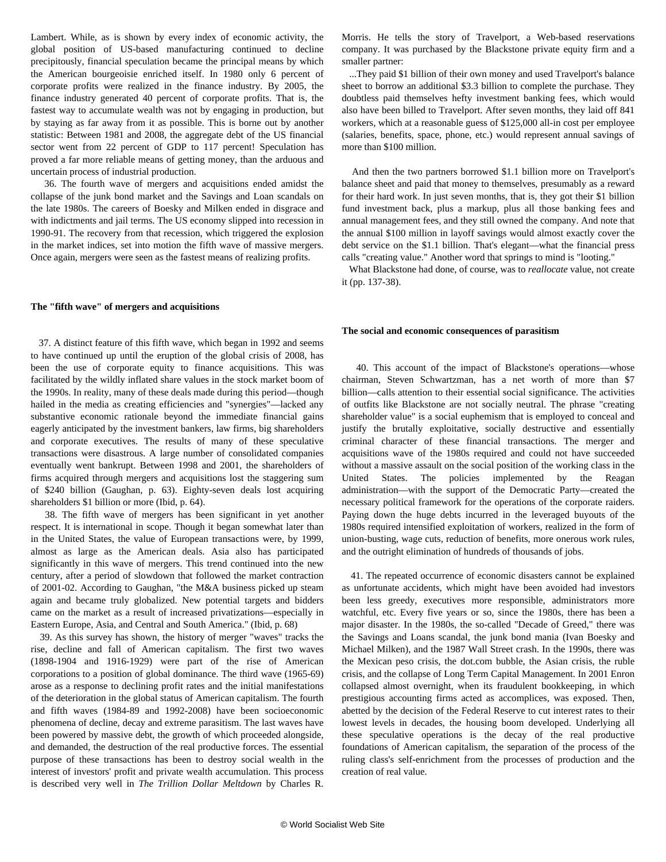Lambert. While, as is shown by every index of economic activity, the global position of US-based manufacturing continued to decline precipitously, financial speculation became the principal means by which the American bourgeoisie enriched itself. In 1980 only 6 percent of corporate profits were realized in the finance industry. By 2005, the finance industry generated 40 percent of corporate profits. That is, the fastest way to accumulate wealth was not by engaging in production, but by staying as far away from it as possible. This is borne out by another statistic: Between 1981 and 2008, the aggregate debt of the US financial sector went from 22 percent of GDP to 117 percent! Speculation has proved a far more reliable means of getting money, than the arduous and uncertain process of industrial production.

 36. The fourth wave of mergers and acquisitions ended amidst the collapse of the junk bond market and the Savings and Loan scandals on the late 1980s. The careers of Boesky and Milken ended in disgrace and with indictments and jail terms. The US economy slipped into recession in 1990-91. The recovery from that recession, which triggered the explosion in the market indices, set into motion the fifth wave of massive mergers. Once again, mergers were seen as the fastest means of realizing profits.

#### **The "fifth wave" of mergers and acquisitions**

 37. A distinct feature of this fifth wave, which began in 1992 and seems to have continued up until the eruption of the global crisis of 2008, has been the use of corporate equity to finance acquisitions. This was facilitated by the wildly inflated share values in the stock market boom of the 1990s. In reality, many of these deals made during this period—though hailed in the media as creating efficiencies and "synergies"—lacked any substantive economic rationale beyond the immediate financial gains eagerly anticipated by the investment bankers, law firms, big shareholders and corporate executives. The results of many of these speculative transactions were disastrous. A large number of consolidated companies eventually went bankrupt. Between 1998 and 2001, the shareholders of firms acquired through mergers and acquisitions lost the staggering sum of \$240 billion (Gaughan, p. 63). Eighty-seven deals lost acquiring shareholders \$1 billion or more (Ibid, p. 64).

 38. The fifth wave of mergers has been significant in yet another respect. It is international in scope. Though it began somewhat later than in the United States, the value of European transactions were, by 1999, almost as large as the American deals. Asia also has participated significantly in this wave of mergers. This trend continued into the new century, after a period of slowdown that followed the market contraction of 2001-02. According to Gaughan, "the M&A business picked up steam again and became truly globalized. New potential targets and bidders came on the market as a result of increased privatizations—especially in Eastern Europe, Asia, and Central and South America." (Ibid, p. 68)

 39. As this survey has shown, the history of merger "waves" tracks the rise, decline and fall of American capitalism. The first two waves (1898-1904 and 1916-1929) were part of the rise of American corporations to a position of global dominance. The third wave (1965-69) arose as a response to declining profit rates and the initial manifestations of the deterioration in the global status of American capitalism. The fourth and fifth waves (1984-89 and 1992-2008) have been socioeconomic phenomena of decline, decay and extreme parasitism. The last waves have been powered by massive debt, the growth of which proceeded alongside, and demanded, the destruction of the real productive forces. The essential purpose of these transactions has been to destroy social wealth in the interest of investors' profit and private wealth accumulation. This process is described very well in *The Trillion Dollar Meltdown* by Charles R.

Morris. He tells the story of Travelport, a Web-based reservations company. It was purchased by the Blackstone private equity firm and a smaller partner:

 ...They paid \$1 billion of their own money and used Travelport's balance sheet to borrow an additional \$3.3 billion to complete the purchase. They doubtless paid themselves hefty investment banking fees, which would also have been billed to Travelport. After seven months, they laid off 841 workers, which at a reasonable guess of \$125,000 all-in cost per employee (salaries, benefits, space, phone, etc.) would represent annual savings of more than \$100 million.

 And then the two partners borrowed \$1.1 billion more on Travelport's balance sheet and paid that money to themselves, presumably as a reward for their hard work. In just seven months, that is, they got their \$1 billion fund investment back, plus a markup, plus all those banking fees and annual management fees, and they still owned the company. And note that the annual \$100 million in layoff savings would almost exactly cover the debt service on the \$1.1 billion. That's elegant—what the financial press calls "creating value." Another word that springs to mind is "looting."

 What Blackstone had done, of course, was to *reallocate* value, not create it (pp. 137-38).

#### **The social and economic consequences of parasitism**

 40. This account of the impact of Blackstone's operations—whose chairman, Steven Schwartzman, has a net worth of more than \$7 billion—calls attention to their essential social significance. The activities of outfits like Blackstone are not socially neutral. The phrase "creating shareholder value" is a social euphemism that is employed to conceal and justify the brutally exploitative, socially destructive and essentially criminal character of these financial transactions. The merger and acquisitions wave of the 1980s required and could not have succeeded without a massive assault on the social position of the working class in the United States. The policies implemented by the Reagan administration—with the support of the Democratic Party—created the necessary political framework for the operations of the corporate raiders. Paying down the huge debts incurred in the leveraged buyouts of the 1980s required intensified exploitation of workers, realized in the form of union-busting, wage cuts, reduction of benefits, more onerous work rules, and the outright elimination of hundreds of thousands of jobs.

 41. The repeated occurrence of economic disasters cannot be explained as unfortunate accidents, which might have been avoided had investors been less greedy, executives more responsible, administrators more watchful, etc. Every five years or so, since the 1980s, there has been a major disaster. In the 1980s, the so-called "Decade of Greed," there was the Savings and Loans scandal, the junk bond mania (Ivan Boesky and Michael Milken), and the 1987 Wall Street crash. In the 1990s, there was the Mexican peso crisis, the dot.com bubble, the Asian crisis, the ruble crisis, and the collapse of Long Term Capital Management. In 2001 Enron collapsed almost overnight, when its fraudulent bookkeeping, in which prestigious accounting firms acted as accomplices, was exposed. Then, abetted by the decision of the Federal Reserve to cut interest rates to their lowest levels in decades, the housing boom developed. Underlying all these speculative operations is the decay of the real productive foundations of American capitalism, the separation of the process of the ruling class's self-enrichment from the processes of production and the creation of real value.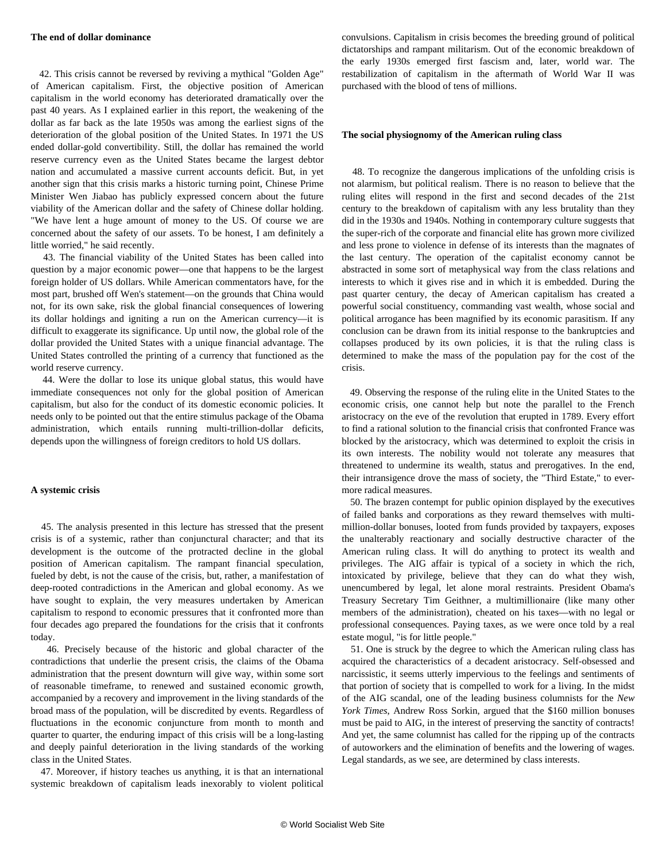#### **The end of dollar dominance**

 42. This crisis cannot be reversed by reviving a mythical "Golden Age" of American capitalism. First, the objective position of American capitalism in the world economy has deteriorated dramatically over the past 40 years. As I explained earlier in this report, the weakening of the dollar as far back as the late 1950s was among the earliest signs of the deterioration of the global position of the United States. In 1971 the US ended dollar-gold convertibility. Still, the dollar has remained the world reserve currency even as the United States became the largest debtor nation and accumulated a massive current accounts deficit. But, in yet another sign that this crisis marks a historic turning point, Chinese Prime Minister Wen Jiabao has publicly expressed concern about the future viability of the American dollar and the safety of Chinese dollar holding. "We have lent a huge amount of money to the US. Of course we are concerned about the safety of our assets. To be honest, I am definitely a little worried," he said recently.

 43. The financial viability of the United States has been called into question by a major economic power—one that happens to be the largest foreign holder of US dollars. While American commentators have, for the most part, brushed off Wen's statement—on the grounds that China would not, for its own sake, risk the global financial consequences of lowering its dollar holdings and igniting a run on the American currency—it is difficult to exaggerate its significance. Up until now, the global role of the dollar provided the United States with a unique financial advantage. The United States controlled the printing of a currency that functioned as the world reserve currency.

 44. Were the dollar to lose its unique global status, this would have immediate consequences not only for the global position of American capitalism, but also for the conduct of its domestic economic policies. It needs only to be pointed out that the entire stimulus package of the Obama administration, which entails running multi-trillion-dollar deficits, depends upon the willingness of foreign creditors to hold US dollars.

#### **A systemic crisis**

 45. The analysis presented in this lecture has stressed that the present crisis is of a systemic, rather than conjunctural character; and that its development is the outcome of the protracted decline in the global position of American capitalism. The rampant financial speculation, fueled by debt, is not the cause of the crisis, but, rather, a manifestation of deep-rooted contradictions in the American and global economy. As we have sought to explain, the very measures undertaken by American capitalism to respond to economic pressures that it confronted more than four decades ago prepared the foundations for the crisis that it confronts today.

 46. Precisely because of the historic and global character of the contradictions that underlie the present crisis, the claims of the Obama administration that the present downturn will give way, within some sort of reasonable timeframe, to renewed and sustained economic growth, accompanied by a recovery and improvement in the living standards of the broad mass of the population, will be discredited by events. Regardless of fluctuations in the economic conjuncture from month to month and quarter to quarter, the enduring impact of this crisis will be a long-lasting and deeply painful deterioration in the living standards of the working class in the United States.

 47. Moreover, if history teaches us anything, it is that an international systemic breakdown of capitalism leads inexorably to violent political

convulsions. Capitalism in crisis becomes the breeding ground of political dictatorships and rampant militarism. Out of the economic breakdown of the early 1930s emerged first fascism and, later, world war. The restabilization of capitalism in the aftermath of World War II was purchased with the blood of tens of millions.

#### **The social physiognomy of the American ruling class**

 48. To recognize the dangerous implications of the unfolding crisis is not alarmism, but political realism. There is no reason to believe that the ruling elites will respond in the first and second decades of the 21st century to the breakdown of capitalism with any less brutality than they did in the 1930s and 1940s. Nothing in contemporary culture suggests that the super-rich of the corporate and financial elite has grown more civilized and less prone to violence in defense of its interests than the magnates of the last century. The operation of the capitalist economy cannot be abstracted in some sort of metaphysical way from the class relations and interests to which it gives rise and in which it is embedded. During the past quarter century, the decay of American capitalism has created a powerful social constituency, commanding vast wealth, whose social and political arrogance has been magnified by its economic parasitism. If any conclusion can be drawn from its initial response to the bankruptcies and collapses produced by its own policies, it is that the ruling class is determined to make the mass of the population pay for the cost of the crisis.

 49. Observing the response of the ruling elite in the United States to the economic crisis, one cannot help but note the parallel to the French aristocracy on the eve of the revolution that erupted in 1789. Every effort to find a rational solution to the financial crisis that confronted France was blocked by the aristocracy, which was determined to exploit the crisis in its own interests. The nobility would not tolerate any measures that threatened to undermine its wealth, status and prerogatives. In the end, their intransigence drove the mass of society, the "Third Estate," to evermore radical measures.

 50. The brazen contempt for public opinion displayed by the executives of failed banks and corporations as they reward themselves with multimillion-dollar bonuses, looted from funds provided by taxpayers, exposes the unalterably reactionary and socially destructive character of the American ruling class. It will do anything to protect its wealth and privileges. The AIG affair is typical of a society in which the rich, intoxicated by privilege, believe that they can do what they wish, unencumbered by legal, let alone moral restraints. President Obama's Treasury Secretary Tim Geithner, a multimillionaire (like many other members of the administration), cheated on his taxes—with no legal or professional consequences. Paying taxes, as we were once told by a real estate mogul, "is for little people."

 51. One is struck by the degree to which the American ruling class has acquired the characteristics of a decadent aristocracy. Self-obsessed and narcissistic, it seems utterly impervious to the feelings and sentiments of that portion of society that is compelled to work for a living. In the midst of the AIG scandal, one of the leading business columnists for the *New York Times*, Andrew Ross Sorkin, argued that the \$160 million bonuses must be paid to AIG, in the interest of preserving the sanctity of contracts! And yet, the same columnist has called for the ripping up of the contracts of autoworkers and the elimination of benefits and the lowering of wages. Legal standards, as we see, are determined by class interests.